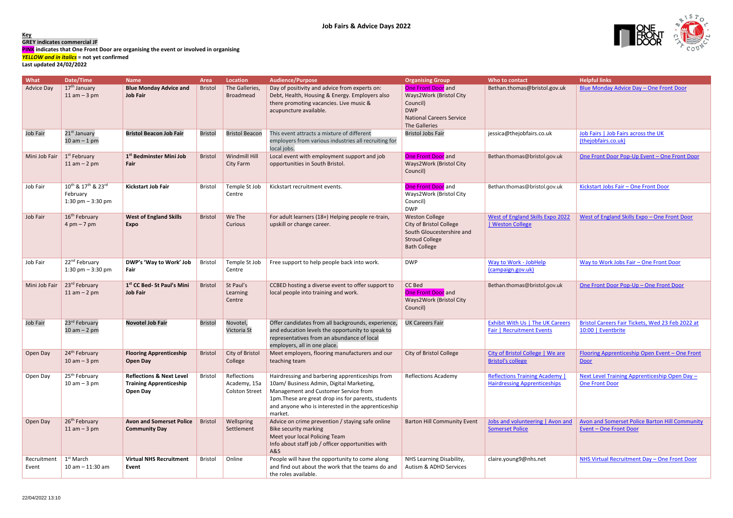



## **Key**

**GREY indicates commercial JF**

**PINK indicates that One Front Door are organising the event or involved in organising**

*YELLOW and in italics* **= not yet confirmed**

**Last updated 24/02/2022**

| What                 | Date/Time                                                                                 | <b>Name</b>                                                                              | <b>Area</b>    | <b>Location</b>                                      | <b>Audience/Purpose</b>                                                                                                                                                                                                                                     | <b>Organising Group</b>                                                                                                       | Who to contact                                                             | <b>Helpful links</b>                                                            |
|----------------------|-------------------------------------------------------------------------------------------|------------------------------------------------------------------------------------------|----------------|------------------------------------------------------|-------------------------------------------------------------------------------------------------------------------------------------------------------------------------------------------------------------------------------------------------------------|-------------------------------------------------------------------------------------------------------------------------------|----------------------------------------------------------------------------|---------------------------------------------------------------------------------|
| <b>Advice Day</b>    | 17 <sup>th</sup> January<br>$11$ am $-3$ pm                                               | <b>Blue Monday Advice and</b><br><b>Job Fair</b>                                         | <b>Bristol</b> | The Galleries,<br><b>Broadmead</b>                   | Day of positivity and advice from experts on:<br>Debt, Health, Housing & Energy. Employers also<br>there promoting vacancies. Live music &<br>acupuncture available.                                                                                        | One Front Door and<br>Ways2Work (Bristol City<br>Council)<br><b>DWP</b><br><b>National Careers Service</b><br>The Galleries   | Bethan.thomas@bristol.gov.uk                                               | Blue Monday Advice Day - One Front Door                                         |
| Job Fair             | 21 <sup>st</sup> January<br>$10 am - 1 pm$                                                | <b>Bristol Beacon Job Fair</b>                                                           | <b>Bristol</b> | <b>Bristol Beacon</b>                                | This event attracts a mixture of different<br>employers from various industries all recruiting for<br>local jobs.                                                                                                                                           | <b>Bristol Jobs Fair</b>                                                                                                      | jessica@thejobfairs.co.uk                                                  | Job Fairs   Job Fairs across the UK<br>(thejobfairs.co.uk)                      |
| Mini Job Fair        | 1 <sup>st</sup> February<br>$11$ am $-$ 2 pm                                              | 1 <sup>st</sup> Bedminster Mini Job<br>Fair                                              | <b>Bristol</b> | Windmill Hill<br>City Farm                           | Local event with employment support and job<br>opportunities in South Bristol.                                                                                                                                                                              | One Front Door and<br>Ways2Work (Bristol City<br>Council)                                                                     | Bethan.thomas@bristol.gov.uk                                               | One Front Door Pop-Up Event - One Front Door                                    |
| Job Fair             | 10 <sup>th</sup> & 17 <sup>th</sup> & 23 <sup>rd</sup><br>February<br>1:30 pm $-$ 3:30 pm | <b>Kickstart Job Fair</b>                                                                | <b>Bristol</b> | Temple St Job<br>Centre                              | Kickstart recruitment events.                                                                                                                                                                                                                               | <b>One Front Door</b> and<br>Ways2Work (Bristol City<br>Council)<br><b>DWP</b>                                                | Bethan.thomas@bristol.gov.uk                                               | Kickstart Jobs Fair - One Front Door                                            |
| Job Fair             | 16 <sup>th</sup> February<br>$4 \text{ pm} - 7 \text{ pm}$                                | <b>West of England Skills</b><br><b>Expo</b>                                             | <b>Bristol</b> | We The<br>Curious                                    | For adult learners (18+) Helping people re-train,<br>upskill or change career.                                                                                                                                                                              | <b>Weston College</b><br>City of Bristol College<br>South Gloucestershire and<br><b>Stroud College</b><br><b>Bath College</b> | West of England Skills Expo 2022<br>  Weston College                       | West of England Skills Expo - One Front Door                                    |
| Job Fair             | 22 <sup>nd</sup> February<br>1:30 pm $-$ 3:30 pm                                          | DWP's 'Way to Work' Job<br>Fair                                                          | Bristol        | Temple St Job<br>Centre                              | Free support to help people back into work.                                                                                                                                                                                                                 | <b>DWP</b>                                                                                                                    | Way to Work - JobHelp<br>(campaign.gov.uk)                                 | Way to Work Jobs Fair - One Front Door                                          |
| Mini Job Fair        | 23rd February<br>$11$ am $-$ 2 pm                                                         | 1st CC Bed- St Paul's Mini<br><b>Job Fair</b>                                            | <b>Bristol</b> | St Paul's<br>Learning<br>Centre                      | CCBED hosting a diverse event to offer support to<br>local people into training and work.                                                                                                                                                                   | CC Bed<br>One Front Door and<br>Ways2Work (Bristol City<br>Council)                                                           | Bethan.thomas@bristol.gov.uk                                               | One Front Door Pop-Up - One Front Door                                          |
| Job Fair             | 23 <sup>rd</sup> February                                                                 | <b>Novotel Job Fair</b>                                                                  | <b>Bristol</b> | Novotel,                                             | Offer candidates from all backgrounds, experience,                                                                                                                                                                                                          | <b>UK Careers Fair</b>                                                                                                        | <b>Exhibit With Us   The UK Careers</b>                                    | Bristol Careers Fair Tickets, Wed 23 Feb 2022 at                                |
|                      | $10 am - 2 pm$                                                                            |                                                                                          |                | Victoria St                                          | and education levels the opportunity to speak to<br>representatives from an abundance of local<br>employers, all in one place.                                                                                                                              |                                                                                                                               | <b>Fair   Recruitment Events</b>                                           | 10:00   Eventbrite                                                              |
| Open Day             | 24 <sup>th</sup> February<br>$10$ am $-3$ pm                                              | <b>Flooring Apprenticeship</b><br><b>Open Day</b>                                        | <b>Bristol</b> | City of Bristol<br>College                           | Meet employers, flooring manufacturers and our<br>teaching team                                                                                                                                                                                             | City of Bristol College                                                                                                       | City of Bristol College   We are<br><b>Bristol's college</b>               | Flooring Apprenticeship Open Event - One Front<br>Door                          |
| Open Day             | 25 <sup>th</sup> February<br>$10$ am $-3$ pm                                              | <b>Reflections &amp; Next Level</b><br><b>Training Apprenticeship</b><br><b>Open Day</b> | <b>Bristol</b> | Reflections<br>Academy, 15a<br><b>Colston Street</b> | Hairdressing and barbering apprenticeships from<br>10am/ Business Admin, Digital Marketing,<br>Management and Customer Service from<br>1pm. These are great drop ins for parents, students<br>and anyone who is interested in the apprenticeship<br>market. | <b>Reflections Academy</b>                                                                                                    | <b>Reflections Training Academy</b><br><b>Hairdressing Apprenticeships</b> | Next Level Training Apprenticeship Open Day -<br><b>One Front Door</b>          |
| Open Day             | 26 <sup>th</sup> February<br>$11$ am $-3$ pm                                              | <b>Avon and Somerset Police</b><br><b>Community Day</b>                                  | <b>Bristol</b> | Wellspring<br>Settlement                             | Advice on crime prevention / staying safe online<br><b>Bike security marking</b><br>Meet your local Policing Team<br>Info about staff job / officer opportunities with<br><b>A&amp;S</b>                                                                    | <b>Barton Hill Community Event</b>                                                                                            | Jobs and volunteering   Avon and<br><b>Somerset Police</b>                 | Avon and Somerset Police Barton Hill Community<br><b>Event - One Front Door</b> |
| Recruitment<br>Event | 1 <sup>st</sup> March<br>$10 am - 11:30 am$                                               | <b>Virtual NHS Recruitment</b><br>Event                                                  | <b>Bristol</b> | Online                                               | People will have the opportunity to come along<br>and find out about the work that the teams do and<br>the roles available.                                                                                                                                 | NHS Learning Disability,<br>Autism & ADHD Services                                                                            | claire.young9@nhs.net                                                      | NHS Virtual Recruitment Day - One Front Door                                    |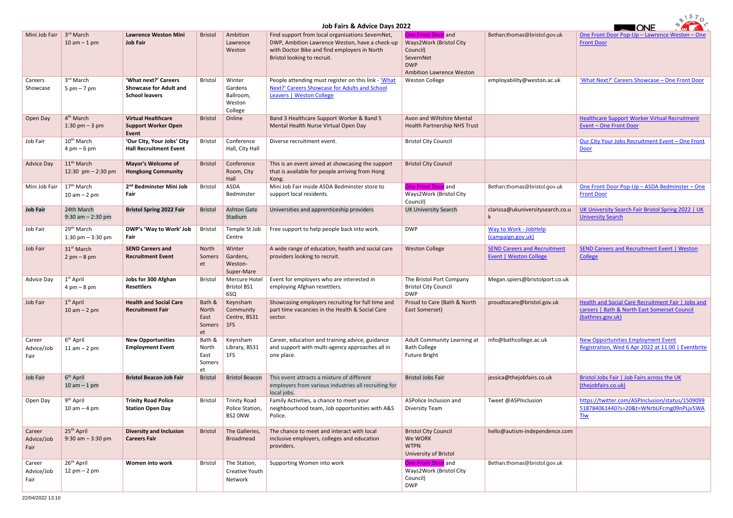| 81570                        |                                                          |                                                                                |                                         |                                                   |                                                                                                                                                                                                                   |                                                                                       |                                                                      |                                                                                                                        |
|------------------------------|----------------------------------------------------------|--------------------------------------------------------------------------------|-----------------------------------------|---------------------------------------------------|-------------------------------------------------------------------------------------------------------------------------------------------------------------------------------------------------------------------|---------------------------------------------------------------------------------------|----------------------------------------------------------------------|------------------------------------------------------------------------------------------------------------------------|
| Mini Job Fair                | 3 <sup>rd</sup> March<br>$10$ am $-1$ pm                 | <b>Lawrence Weston Mini</b><br><b>Job Fair</b>                                 | <b>Bristol</b>                          | Ambition<br>Lawrence<br>Weston                    | Job Fairs & Advice Days 2022<br>Find support from local organisations SevernNet,<br>DWP, Ambition Lawrence Weston, have a check-up<br>with Doctor Bike and find employers in North<br>Bristol looking to recruit. | One Front Door and<br>Ways2Work (Bristol City<br>Council)<br>SevernNet<br><b>DWP</b>  | Bethan.thomas@bristol.gov.uk                                         | <b>TONE</b><br>One Front Door Pop-Up - Lawrence Weston - One<br><b>Front Door</b>                                      |
| Careers<br>Showcase          | 3rd March<br>$5 \text{ pm} - 7 \text{ pm}$               | 'What next?' Careers<br><b>Showcase for Adult and</b><br><b>School leavers</b> | Bristol                                 | Winter<br>Gardens<br>Ballroom,<br>Weston          | People attending must register on this link - 'What<br>Next?' Careers Showcase for Adults and School<br>Leavers   Weston College                                                                                  | <b>Ambition Lawrence Weston</b><br><b>Weston College</b>                              | employability@weston.ac.uk                                           | 'What Next?' Careers Showcase - One Front Door                                                                         |
| Open Day                     | 4 <sup>th</sup> March<br>1:30 pm $-3$ pm                 | <b>Virtual Healthcare</b><br><b>Support Worker Open</b><br>Event               | Bristol                                 | College<br>Online                                 | Band 3 Healthcare Support Worker & Band 5<br>Mental Health Nurse Virtual Open Day                                                                                                                                 | Avon and Wiltshire Mental<br>Health Partnership NHS Trust                             |                                                                      | <b>Healthcare Support Worker Virtual Recruitment</b><br>Event - One Front Door                                         |
| Job Fair                     | 10 <sup>th</sup> March<br>$4 \text{ pm} - 6 \text{ pm}$  | 'Our City, Your Jobs' City<br><b>Hall Recruitment Event</b>                    | Bristol                                 | Conference<br>Hall, City Hall                     | Diverse recruitment event.                                                                                                                                                                                        | <b>Bristol City Council</b>                                                           |                                                                      | Our City Your Jobs Recruitment Event - One Front<br>Door                                                               |
| <b>Advice Day</b>            | 11 <sup>th</sup> March<br>12:30 pm $- 2:30$ pm           | <b>Mayor's Welcome of</b><br><b>Hongkong Community</b>                         | <b>Bristol</b>                          | Conference<br>Room, City<br>Hall                  | This is an event aimed at showcasing the support<br>that is available for people arriving from Hong<br>Kong.                                                                                                      | <b>Bristol City Council</b>                                                           |                                                                      |                                                                                                                        |
| Mini Job Fair                | 17 <sup>th</sup> March<br>$10 am - 2 pm$                 | 2 <sup>nd</sup> Bedminster Mini Job<br>Fair                                    | Bristol                                 | ASDA<br>Bedminster                                | Mini Job Fair inside ASDA Bedminster store to<br>support local residents.                                                                                                                                         | One Front Door and<br>Ways2Work (Bristol City<br>Council)                             | Bethan.thomas@bristol.gov.uk                                         | One Front Door Pop-Up - ASDA Bedminster - One<br><b>Front Door</b>                                                     |
| <b>Job Fair</b>              | 24th March<br>9:30 am $- 2:30$ pm                        | <b>Bristol Spring 2022 Fair</b>                                                | <b>Bristol</b>                          | <b>Ashton Gate</b><br>Stadium                     | Universities and apprenticeship providers                                                                                                                                                                         | <b>UK University Search</b>                                                           | clarissa@ukuniversitysearch.co.u                                     | UK University Search Fair Bristol Spring 2022   UK<br><b>University Search</b>                                         |
| Job Fair                     | 29 <sup>th</sup> March<br>1:30 pm $-$ 3:30 pm            | DWP's 'Way to Work' Job<br>Fair                                                | Bristol                                 | Temple St Job<br>Centre                           | Free support to help people back into work.                                                                                                                                                                       | <b>DWP</b>                                                                            | Way to Work - JobHelp<br>(campaign.gov.uk)                           |                                                                                                                        |
| Job Fair                     | 31 <sup>st</sup> March<br>$2 \text{ pm} - 8 \text{ pm}$  | <b>SEND Careers and</b><br><b>Recruitment Event</b>                            | North<br>Somers<br>et                   | Winter<br>Gardens,<br>Weston-<br>Super-Mare       | A wide range of education, health and social care<br>providers looking to recruit.                                                                                                                                | <b>Weston College</b>                                                                 | <b>SEND Careers and Recruitment</b><br><b>Event   Weston College</b> | <b>SEND Careers and Recruitment Event   Weston</b><br>College                                                          |
| Advice Day                   | $1st$ April<br>$4 \text{ pm} - 8 \text{ pm}$             | Jobs for 300 Afghan<br><b>Resettlers</b>                                       | Bristol                                 | Mercure Hotel<br><b>Bristol BS1</b><br>6SQ        | Event for employers who are interested in<br>employing Afghan resettlers.                                                                                                                                         | The Bristol Port Company<br><b>Bristol City Council</b><br><b>DWP</b>                 | Megan.spiers@bristolport.co.uk                                       |                                                                                                                        |
| Job Fair                     | $1st$ April<br>$10$ am $- 2$ pm                          | <b>Health and Social Care</b><br><b>Recruitment Fair</b>                       | Bath &<br>North<br>East<br>Somers<br>et | Keynsham<br>Community<br>Centre, BS31<br>1FS      | Showcasing employers recruiting for full time and<br>part time vacancies in the Health & Social Care<br>sector.                                                                                                   | Proud to Care (Bath & North<br>East Somerset)                                         | proudtocare@bristol.gov.uk                                           | Health and Social Care Recruitment Fair   Jobs and<br>careers   Bath & North East Somerset Council<br>(bathnes.gov.uk) |
| Career<br>Advice/Job<br>Fair | 6 <sup>th</sup> April<br>$11$ am $-$ 2 pm                | <b>New Opportunities</b><br><b>Employment Event</b>                            | Bath &<br>North<br>East<br>Somers<br>et | Keynsham<br>Library, BS31<br>1FS                  | Career, education and training advice, guidance<br>and support with multi-agency approaches all in<br>one place.                                                                                                  | Adult Community Learning at<br><b>Bath College</b><br><b>Future Bright</b>            | info@bathcollege.ac.uk                                               | <b>New Opportunities Employment Event</b><br>Registration, Wed 6 Apr 2022 at 11:00   Eventbrite                        |
| Job Fair                     | 6 <sup>th</sup> April<br>$10$ am $-1$ pm                 | <b>Bristol Beacon Job Fair</b>                                                 | <b>Bristol</b>                          | <b>Bristol Beacon</b>                             | This event attracts a mixture of different<br>employers from various industries all recruiting for<br>local jobs.                                                                                                 | <b>Bristol Jobs Fair</b>                                                              | jessica@thejobfairs.co.uk                                            | Bristol Jobs Fair   Job Fairs across the UK<br>(thejobfairs.co.uk)                                                     |
| Open Day                     | 9 <sup>th</sup> April<br>$10$ am $-$ 4 pm                | <b>Trinity Road Police</b><br><b>Station Open Day</b>                          | Bristol                                 | <b>Trinity Road</b><br>Police Station,<br>BS2 ONW | Family Activities, a chance to meet your<br>neighbourhood team, Job opportunities with A&S<br>Police.                                                                                                             | ASPolice Inclusion and<br>Diversity Team                                              | Tweet @ASPInclusion                                                  | https://twitter.com/ASPInclusion/status/1509099<br>518784061440?s=20&t=WNrbUFcmg09nPLjv5WA<br><b>Tlw</b>               |
| Career<br>Advice/Job<br>Fair | 25 <sup>th</sup> April<br>$9:30$ am $-3:30$ pm           | <b>Diversity and Inclusion</b><br><b>Careers Fair</b>                          | <b>Bristol</b>                          | The Galleries,<br>Broadmead                       | The chance to meet and interact with local<br>inclusive employers, colleges and education<br>providers.                                                                                                           | <b>Bristol City Council</b><br>We WORK<br><b>WTPN</b><br><b>University of Bristol</b> | hello@autism-independence.com                                        |                                                                                                                        |
| Career<br>Advice/Job<br>Fair | 26 <sup>th</sup> April<br>$12 \text{ pm} - 2 \text{ pm}$ | Women into work                                                                | Bristol                                 | The Station,<br>Creative Youth<br>Network         | Supporting Women into work                                                                                                                                                                                        | One Front Door and<br>Ways2Work (Bristol City<br>Council)<br><b>DWP</b>               | Bethan.thomas@bristol.gov.uk                                         |                                                                                                                        |